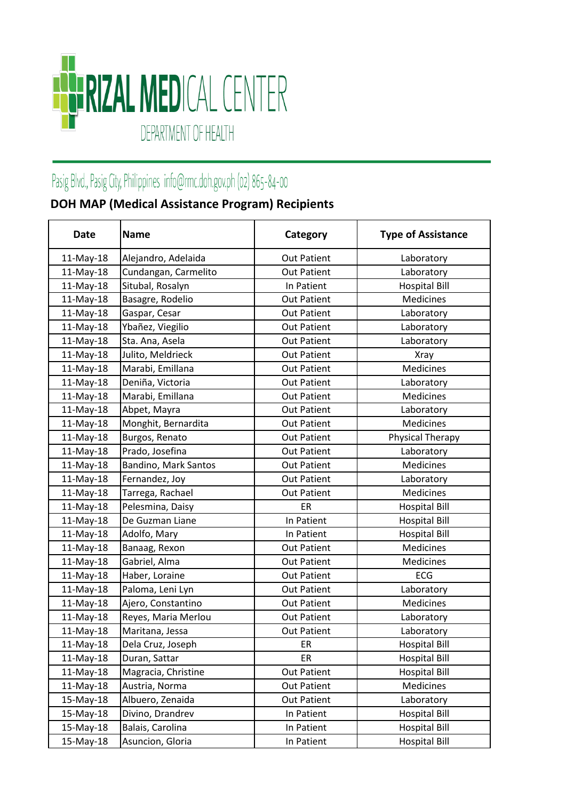

## Pasig Blvd., Pasig City, Philippines info@rmc.doh.gov.ph (02) 865-84-00

## **DOH MAP (Medical Assistance Program) Recipients**

| <b>Date</b> | <b>Name</b>          | Category           | <b>Type of Assistance</b> |
|-------------|----------------------|--------------------|---------------------------|
| 11-May-18   | Alejandro, Adelaida  | <b>Out Patient</b> | Laboratory                |
| 11-May-18   | Cundangan, Carmelito | <b>Out Patient</b> | Laboratory                |
| $11-May-18$ | Situbal, Rosalyn     | In Patient         | <b>Hospital Bill</b>      |
| 11-May-18   | Basagre, Rodelio     | <b>Out Patient</b> | <b>Medicines</b>          |
| $11-May-18$ | Gaspar, Cesar        | <b>Out Patient</b> | Laboratory                |
| 11-May-18   | Ybañez, Viegilio     | <b>Out Patient</b> | Laboratory                |
| 11-May-18   | Sta. Ana, Asela      | <b>Out Patient</b> | Laboratory                |
| 11-May-18   | Julito, Meldrieck    | <b>Out Patient</b> | <b>Xray</b>               |
| 11-May-18   | Marabi, Emillana     | <b>Out Patient</b> | Medicines                 |
| 11-May-18   | Deniña, Victoria     | <b>Out Patient</b> | Laboratory                |
| 11-May-18   | Marabi, Emillana     | <b>Out Patient</b> | <b>Medicines</b>          |
| 11-May-18   | Abpet, Mayra         | <b>Out Patient</b> | Laboratory                |
| 11-May-18   | Monghit, Bernardita  | <b>Out Patient</b> | Medicines                 |
| 11-May-18   | Burgos, Renato       | <b>Out Patient</b> | Physical Therapy          |
| 11-May-18   | Prado, Josefina      | <b>Out Patient</b> | Laboratory                |
| 11-May-18   | Bandino, Mark Santos | <b>Out Patient</b> | <b>Medicines</b>          |
| 11-May-18   | Fernandez, Joy       | <b>Out Patient</b> | Laboratory                |
| 11-May-18   | Tarrega, Rachael     | <b>Out Patient</b> | Medicines                 |
| 11-May-18   | Pelesmina, Daisy     | ER                 | <b>Hospital Bill</b>      |
| 11-May-18   | De Guzman Liane      | In Patient         | <b>Hospital Bill</b>      |
| 11-May-18   | Adolfo, Mary         | In Patient         | <b>Hospital Bill</b>      |
| $11-May-18$ | Banaag, Rexon        | <b>Out Patient</b> | Medicines                 |
| 11-May-18   | Gabriel, Alma        | <b>Out Patient</b> | Medicines                 |
| 11-May-18   | Haber, Loraine       | <b>Out Patient</b> | ECG                       |
| 11-May-18   | Paloma, Leni Lyn     | <b>Out Patient</b> | Laboratory                |
| $11-May-18$ | Ajero, Constantino   | <b>Out Patient</b> | Medicines                 |
| $11-May-18$ | Reyes, Maria Merlou  | <b>Out Patient</b> | Laboratory                |
| 11-May-18   | Maritana, Jessa      | <b>Out Patient</b> | Laboratory                |
| 11-May-18   | Dela Cruz, Joseph    | ER                 | <b>Hospital Bill</b>      |
| 11-May-18   | Duran, Sattar        | ER                 | <b>Hospital Bill</b>      |
| 11-May-18   | Magracia, Christine  | <b>Out Patient</b> | <b>Hospital Bill</b>      |
| 11-May-18   | Austria, Norma       | <b>Out Patient</b> | Medicines                 |
| 15-May-18   | Albuero, Zenaida     | <b>Out Patient</b> | Laboratory                |
| 15-May-18   | Divino, Drandrev     | In Patient         | <b>Hospital Bill</b>      |
| 15-May-18   | Balais, Carolina     | In Patient         | <b>Hospital Bill</b>      |
| 15-May-18   | Asuncion, Gloria     | In Patient         | <b>Hospital Bill</b>      |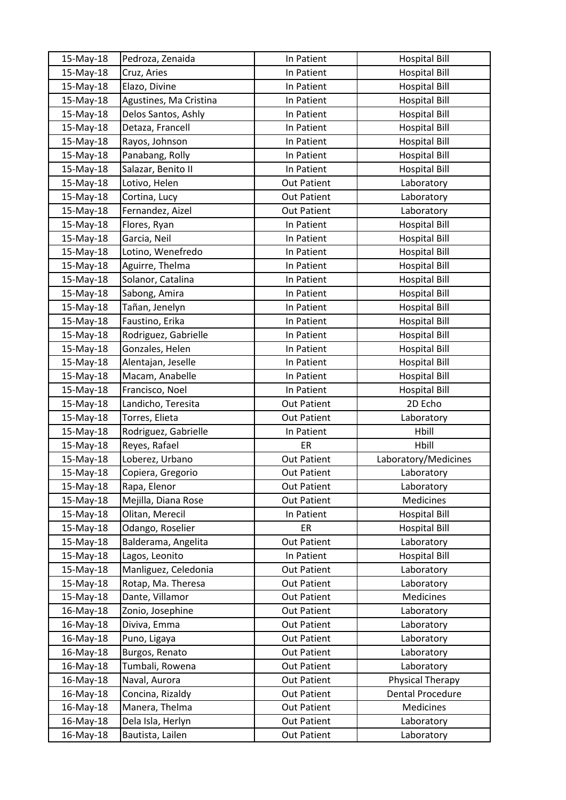| 15-May-18 | Pedroza, Zenaida       | In Patient         | <b>Hospital Bill</b>    |
|-----------|------------------------|--------------------|-------------------------|
| 15-May-18 | Cruz, Aries            | In Patient         | <b>Hospital Bill</b>    |
| 15-May-18 | Elazo, Divine          | In Patient         | <b>Hospital Bill</b>    |
| 15-May-18 | Agustines, Ma Cristina | In Patient         | <b>Hospital Bill</b>    |
| 15-May-18 | Delos Santos, Ashly    | In Patient         | <b>Hospital Bill</b>    |
| 15-May-18 | Detaza, Francell       | In Patient         | <b>Hospital Bill</b>    |
| 15-May-18 | Rayos, Johnson         | In Patient         | <b>Hospital Bill</b>    |
| 15-May-18 | Panabang, Rolly        | In Patient         | <b>Hospital Bill</b>    |
| 15-May-18 | Salazar, Benito II     | In Patient         | <b>Hospital Bill</b>    |
| 15-May-18 | Lotivo, Helen          | <b>Out Patient</b> | Laboratory              |
| 15-May-18 | Cortina, Lucy          | <b>Out Patient</b> | Laboratory              |
| 15-May-18 | Fernandez, Aizel       | <b>Out Patient</b> | Laboratory              |
| 15-May-18 | Flores, Ryan           | In Patient         | <b>Hospital Bill</b>    |
| 15-May-18 | Garcia, Neil           | In Patient         | <b>Hospital Bill</b>    |
| 15-May-18 | Lotino, Wenefredo      | In Patient         | <b>Hospital Bill</b>    |
| 15-May-18 | Aguirre, Thelma        | In Patient         | <b>Hospital Bill</b>    |
| 15-May-18 | Solanor, Catalina      | In Patient         | <b>Hospital Bill</b>    |
| 15-May-18 | Sabong, Amira          | In Patient         | <b>Hospital Bill</b>    |
| 15-May-18 | Tañan, Jenelyn         | In Patient         | <b>Hospital Bill</b>    |
| 15-May-18 | Faustino, Erika        | In Patient         | <b>Hospital Bill</b>    |
| 15-May-18 | Rodriguez, Gabrielle   | In Patient         | <b>Hospital Bill</b>    |
| 15-May-18 | Gonzales, Helen        | In Patient         | <b>Hospital Bill</b>    |
| 15-May-18 | Alentajan, Jeselle     | In Patient         | <b>Hospital Bill</b>    |
| 15-May-18 | Macam, Anabelle        | In Patient         | <b>Hospital Bill</b>    |
| 15-May-18 | Francisco, Noel        | In Patient         | <b>Hospital Bill</b>    |
| 15-May-18 | Landicho, Teresita     | <b>Out Patient</b> | 2D Echo                 |
| 15-May-18 | Torres, Elieta         | <b>Out Patient</b> | Laboratory              |
| 15-May-18 | Rodriguez, Gabrielle   | In Patient         | Hbill                   |
| 15-May-18 | Reyes, Rafael          | ER                 | Hbill                   |
| 15-May-18 | Loberez, Urbano        | <b>Out Patient</b> | Laboratory/Medicines    |
| 15-May-18 | Copiera, Gregorio      | <b>Out Patient</b> | Laboratory              |
| 15-May-18 | Rapa, Elenor           | <b>Out Patient</b> | Laboratory              |
| 15-May-18 | Mejilla, Diana Rose    | <b>Out Patient</b> | Medicines               |
| 15-May-18 | Olitan, Merecil        | In Patient         | <b>Hospital Bill</b>    |
| 15-May-18 | Odango, Roselier       | ER                 | <b>Hospital Bill</b>    |
| 15-May-18 | Balderama, Angelita    | <b>Out Patient</b> | Laboratory              |
| 15-May-18 | Lagos, Leonito         | In Patient         | <b>Hospital Bill</b>    |
| 15-May-18 | Manliguez, Celedonia   | <b>Out Patient</b> | Laboratory              |
| 15-May-18 | Rotap, Ma. Theresa     | <b>Out Patient</b> | Laboratory              |
| 15-May-18 | Dante, Villamor        | <b>Out Patient</b> | Medicines               |
| 16-May-18 | Zonio, Josephine       | <b>Out Patient</b> | Laboratory              |
| 16-May-18 | Diviva, Emma           | <b>Out Patient</b> | Laboratory              |
| 16-May-18 | Puno, Ligaya           | <b>Out Patient</b> | Laboratory              |
| 16-May-18 | Burgos, Renato         | <b>Out Patient</b> | Laboratory              |
| 16-May-18 | Tumbali, Rowena        | <b>Out Patient</b> | Laboratory              |
| 16-May-18 | Naval, Aurora          | <b>Out Patient</b> | Physical Therapy        |
| 16-May-18 | Concina, Rizaldy       | <b>Out Patient</b> | <b>Dental Procedure</b> |
| 16-May-18 | Manera, Thelma         | <b>Out Patient</b> | Medicines               |
| 16-May-18 | Dela Isla, Herlyn      | Out Patient        | Laboratory              |
| 16-May-18 | Bautista, Lailen       | <b>Out Patient</b> | Laboratory              |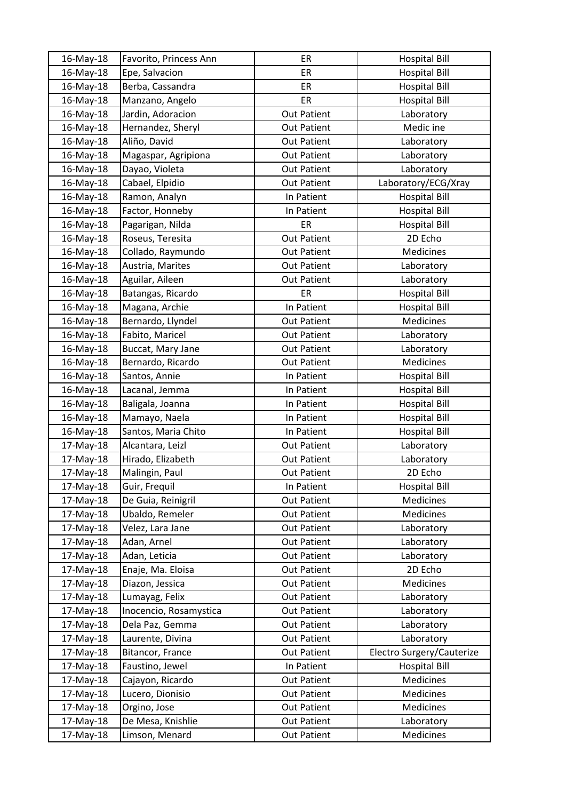| 16-May-18 | Favorito, Princess Ann | ER                 | <b>Hospital Bill</b>      |
|-----------|------------------------|--------------------|---------------------------|
| 16-May-18 | Epe, Salvacion         | ER                 | <b>Hospital Bill</b>      |
| 16-May-18 | Berba, Cassandra       | ER                 | <b>Hospital Bill</b>      |
| 16-May-18 | Manzano, Angelo        | ER                 | <b>Hospital Bill</b>      |
| 16-May-18 | Jardin, Adoracion      | <b>Out Patient</b> | Laboratory                |
| 16-May-18 | Hernandez, Sheryl      | <b>Out Patient</b> | Medic ine                 |
| 16-May-18 | Aliño, David           | <b>Out Patient</b> | Laboratory                |
| 16-May-18 | Magaspar, Agripiona    | <b>Out Patient</b> | Laboratory                |
| 16-May-18 | Dayao, Violeta         | Out Patient        | Laboratory                |
| 16-May-18 | Cabael, Elpidio        | <b>Out Patient</b> | Laboratory/ECG/Xray       |
| 16-May-18 | Ramon, Analyn          | In Patient         | <b>Hospital Bill</b>      |
| 16-May-18 | Factor, Honneby        | In Patient         | <b>Hospital Bill</b>      |
| 16-May-18 | Pagarigan, Nilda       | ER                 | <b>Hospital Bill</b>      |
| 16-May-18 | Roseus, Teresita       | <b>Out Patient</b> | 2D Echo                   |
| 16-May-18 | Collado, Raymundo      | <b>Out Patient</b> | Medicines                 |
| 16-May-18 | Austria, Marites       | <b>Out Patient</b> | Laboratory                |
| 16-May-18 | Aguilar, Aileen        | <b>Out Patient</b> | Laboratory                |
| 16-May-18 | Batangas, Ricardo      | ER                 | <b>Hospital Bill</b>      |
| 16-May-18 | Magana, Archie         | In Patient         | <b>Hospital Bill</b>      |
| 16-May-18 | Bernardo, Llyndel      | <b>Out Patient</b> | <b>Medicines</b>          |
| 16-May-18 | Fabito, Maricel        | <b>Out Patient</b> | Laboratory                |
| 16-May-18 | Buccat, Mary Jane      | <b>Out Patient</b> | Laboratory                |
| 16-May-18 | Bernardo, Ricardo      | <b>Out Patient</b> | Medicines                 |
| 16-May-18 | Santos, Annie          | In Patient         | <b>Hospital Bill</b>      |
| 16-May-18 | Lacanal, Jemma         | In Patient         | <b>Hospital Bill</b>      |
| 16-May-18 | Baligala, Joanna       | In Patient         | <b>Hospital Bill</b>      |
| 16-May-18 | Mamayo, Naela          | In Patient         | <b>Hospital Bill</b>      |
| 16-May-18 | Santos, Maria Chito    | In Patient         | <b>Hospital Bill</b>      |
| 17-May-18 | Alcantara, Leizl       | <b>Out Patient</b> | Laboratory                |
| 17-May-18 | Hirado, Elizabeth      | <b>Out Patient</b> | Laboratory                |
| 17-May-18 | Malingin, Paul         | <b>Out Patient</b> | 2D Echo                   |
| 17-May-18 | Guir, Frequil          | In Patient         | <b>Hospital Bill</b>      |
| 17-May-18 | De Guia, Reinigril     | <b>Out Patient</b> | Medicines                 |
| 17-May-18 | Ubaldo, Remeler        | <b>Out Patient</b> | Medicines                 |
| 17-May-18 | Velez, Lara Jane       | Out Patient        | Laboratory                |
| 17-May-18 | Adan, Arnel            | <b>Out Patient</b> | Laboratory                |
| 17-May-18 | Adan, Leticia          | Out Patient        | Laboratory                |
| 17-May-18 | Enaje, Ma. Eloisa      | <b>Out Patient</b> | 2D Echo                   |
| 17-May-18 | Diazon, Jessica        | Out Patient        | Medicines                 |
| 17-May-18 | Lumayag, Felix         | <b>Out Patient</b> | Laboratory                |
| 17-May-18 | Inocencio, Rosamystica | <b>Out Patient</b> | Laboratory                |
| 17-May-18 | Dela Paz, Gemma        | Out Patient        | Laboratory                |
| 17-May-18 | Laurente, Divina       | <b>Out Patient</b> | Laboratory                |
| 17-May-18 | Bitancor, France       | Out Patient        | Electro Surgery/Cauterize |
| 17-May-18 | Faustino, Jewel        | In Patient         | <b>Hospital Bill</b>      |
| 17-May-18 | Cajayon, Ricardo       | Out Patient        | Medicines                 |
| 17-May-18 | Lucero, Dionisio       | Out Patient        | Medicines                 |
| 17-May-18 | Orgino, Jose           | Out Patient        | Medicines                 |
| 17-May-18 | De Mesa, Knishlie      | <b>Out Patient</b> | Laboratory                |
| 17-May-18 | Limson, Menard         | Out Patient        | Medicines                 |